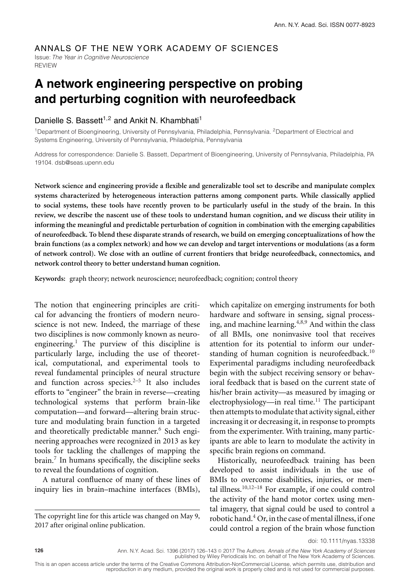# ANNALS OF THE NEW YORK ACADEMY OF SCIENCES

Issue: *The Year in Cognitive Neuroscience* REVIEW

# **A network engineering perspective on probing and perturbing cognition with neurofeedback**

# Danielle S. Bassett<sup>1,2</sup> and Ankit N. Khambhati<sup>1</sup>

<sup>1</sup>Department of Bioengineering, University of Pennsylvania, Philadelphia, Pennsylvania. <sup>2</sup>Department of Electrical and Systems Engineering, University of Pennsylvania, Philadelphia, Pennsylvania

Address for correspondence: Danielle S. Bassett, Department of Bioengineering, University of Pennsylvania, Philadelphia, PA 19104. dsb@seas.upenn.edu

**Network science and engineering provide a flexible and generalizable tool set to describe and manipulate complex systems characterized by heterogeneous interaction patterns among component parts. While classically applied to social systems, these tools have recently proven to be particularly useful in the study of the brain. In this review, we describe the nascent use of these tools to understand human cognition, and we discuss their utility in informing the meaningful and predictable perturbation of cognition in combination with the emerging capabilities of neurofeedback. To blend these disparate strands of research, we build on emerging conceptualizations of how the brain functions (as a complex network) and how we can develop and target interventions or modulations (as a form of network control). We close with an outline of current frontiers that bridge neurofeedback, connectomics, and network control theory to better understand human cognition.**

**Keywords:** graph theory; network neuroscience; neurofeedback; cognition; control theory

The notion that engineering principles are critical for advancing the frontiers of modern neuroscience is not new. Indeed, the marriage of these two disciplines is now commonly known as neuroengineering.<sup>1</sup> The purview of this discipline is particularly large, including the use of theoretical, computational, and experimental tools to reveal fundamental principles of neural structure and function across species. $2-5$  It also includes efforts to "engineer" the brain in reverse—creating technological systems that perform brain-like computation—and forward—altering brain structure and modulating brain function in a targeted and theoretically predictable manner.<sup>6</sup> Such engineering approaches were recognized in 2013 as key tools for tackling the challenges of mapping the brain.<sup>7</sup> In humans specifically, the discipline seeks to reveal the foundations of cognition.

A natural confluence of many of these lines of inquiry lies in brain–machine interfaces (BMIs),

which capitalize on emerging instruments for both hardware and software in sensing, signal processing, and machine learning. $4,8,9$  And within the class of all BMIs, one noninvasive tool that receives attention for its potential to inform our understanding of human cognition is neurofeedback.<sup>10</sup> Experimental paradigms including neurofeedback begin with the subject receiving sensory or behavioral feedback that is based on the current state of his/her brain activity—as measured by imaging or electrophysiology—in real time. $11$  The participant then attempts to modulate that activity signal, either increasing it or decreasing it, in response to prompts from the experimenter. With training, many participants are able to learn to modulate the activity in specific brain regions on command.

Historically, neurofeedback training has been developed to assist individuals in the use of BMIs to overcome disabilities, injuries, or mental illness.10,12–18 For example, if one could control the activity of the hand motor cortex using mental imagery, that signal could be used to control a robotic hand.<sup>4</sup> Or, in the case of mental illness, if one could control a region of the brain whose function

doi: 10.1111/nyas.13338

This is an open access article under the terms of the [Creative Commons Attribution-NonCommercial](http://creativecommons.org/licenses/by-nc/4.0/) License, which permits use, distribution and reproduction in any medium, provided the original work is properly cited and is not used for commercial purposes.

The copyright line for this article was changed on May 9, 2017 after original online publication.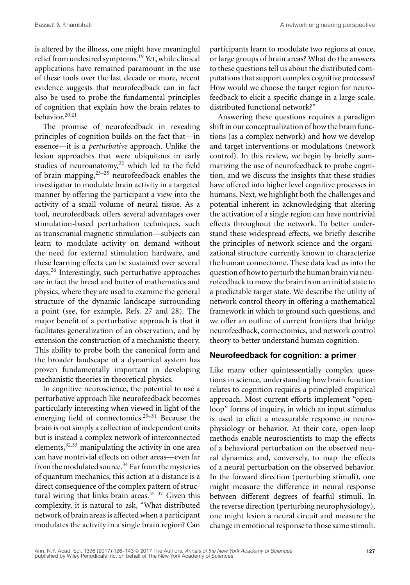is altered by the illness, one might have meaningful relief from undesired symptoms.<sup>19</sup> Yet, while clinical applications have remained paramount in the use of these tools over the last decade or more, recent evidence suggests that neurofeedback can in fact also be used to probe the fundamental principles of cognition that explain how the brain relates to behavior.20,21

The promise of neurofeedback in revealing principles of cognition builds on the fact that—in essence—it is a *perturbative* approach. Unlike the lesion approaches that were ubiquitous in early studies of neuroanatomy,<sup>22</sup> which led to the field of brain mapping, $23-25$  neurofeedback enables the investigator to modulate brain activity in a targeted manner by offering the participant a view into the activity of a small volume of neural tissue. As a tool, neurofeedback offers several advantages over stimulation-based perturbation techniques, such as transcranial magnetic stimulation—subjects can learn to modulate activity on demand without the need for external stimulation hardware, and these learning effects can be sustained over several days.26 Interestingly, such perturbative approaches are in fact the bread and butter of mathematics and physics, where they are used to examine the general structure of the dynamic landscape surrounding a point (see, for example, Refs. 27 and 28). The major benefit of a perturbative approach is that it facilitates generalization of an observation, and by extension the construction of a mechanistic theory. This ability to probe both the canonical form and the broader landscape of a dynamical system has proven fundamentally important in developing mechanistic theories in theoretical physics.

In cognitive neuroscience, the potential to use a perturbative approach like neurofeedback becomes particularly interesting when viewed in light of the emerging field of connectomics.<sup>29–31</sup> Because the brain is not simply a collection of independent units but is instead a complex network of interconnected elements, $32,33$  manipulating the activity in one area can have nontrivial effects on other areas—even far from the modulated source.<sup>34</sup> Far from the mysteries of quantum mechanics, this action at a distance is a direct consequence of the complex pattern of structural wiring that links brain areas. $35-37$  Given this complexity, it is natural to ask, "What distributed network of brain areas is affected when a participant modulates the activity in a single brain region? Can

participants learn to modulate two regions at once, or large groups of brain areas? What do the answers to these questions tell us about the distributed computations that support complex cognitive processes? How would we choose the target region for neurofeedback to elicit a specific change in a large-scale, distributed functional network?"

Answering these questions requires a paradigm shift in our conceptualization of how the brain functions (as a complex network) and how we develop and target interventions or modulations (network control). In this review, we begin by briefly summarizing the use of neurofeedback to probe cognition, and we discuss the insights that these studies have offered into higher level cognitive processes in humans. Next, we highlight both the challenges and potential inherent in acknowledging that altering the activation of a single region can have nontrivial effects throughout the network. To better understand these widespread effects, we briefly describe the principles of network science and the organizational structure currently known to characterize the human connectome. These data lead us into the question of how to perturb the human brain via neurofeedback to move the brain from an initial state to a predictable target state. We describe the utility of network control theory in offering a mathematical framework in which to ground such questions, and we offer an outline of current frontiers that bridge neurofeedback, connectomics, and network control theory to better understand human cognition.

## **Neurofeedback for cognition: a primer**

Like many other quintessentially complex questions in science, understanding how brain function relates to cognition requires a principled empirical approach. Most current efforts implement "openloop" forms of inquiry, in which an input stimulus is used to elicit a measurable response in neurophysiology or behavior. At their core, open-loop methods enable neuroscientists to map the effects of a behavioral perturbation on the observed neural dynamics and, conversely, to map the effects of a neural perturbation on the observed behavior. In the forward direction (perturbing stimuli), one might measure the difference in neural response between different degrees of fearful stimuli. In the reverse direction (perturbing neurophysiology), one might lesion a neural circuit and measure the change in emotional response to those same stimuli.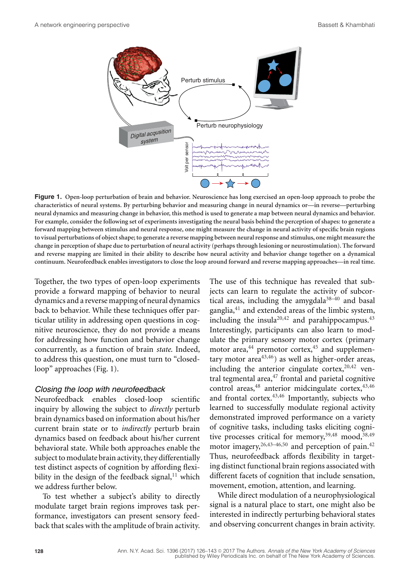

**Figure 1. Open-loop perturbation of brain and behavior. Neuroscience has long exercised an open-loop approach to probe the characteristics of neural systems. By perturbing behavior and measuring change in neural dynamics or—in reverse—perturbing neural dynamics and measuring change in behavior, this method is used to generate a map between neural dynamics and behavior. For example, consider the following set of experiments investigating the neural basis behind the perception of shapes: to generate a forward mapping between stimulus and neural response, one might measure the change in neural activity of specific brain regions to visual perturbations of object shape; to generate a reverse mapping between neural response and stimulus, one might measure the change in perception of shape due to perturbation of neural activity (perhaps through lesioning or neurostimulation). The forward and reverse mapping are limited in their ability to describe how neural activity and behavior change together on a dynamical continuum. Neurofeedback enables investigators to close the loop around forward and reverse mapping approaches—in real time.**

Together, the two types of open-loop experiments provide a forward mapping of behavior to neural dynamics and a reverse mapping of neural dynamics back to behavior. While these techniques offer particular utility in addressing open questions in cognitive neuroscience, they do not provide a means for addressing how function and behavior change concurrently, as a function of brain *state*. Indeed, to address this question, one must turn to "closedloop" approaches (Fig. 1).

#### *Closing the loop with neurofeedback*

Neurofeedback enables closed-loop scientific inquiry by allowing the subject to *directly* perturb brain dynamics based on information about his/her current brain state or to *indirectly* perturb brain dynamics based on feedback about his/her current behavioral state. While both approaches enable the subject to modulate brain activity, they differentially test distinct aspects of cognition by affording flexibility in the design of the feedback signal, $11$  which we address further below.

To test whether a subject's ability to directly modulate target brain regions improves task performance, investigators can present sensory feedback that scales with the amplitude of brain activity.

The use of this technique has revealed that subjects can learn to regulate the activity of subcortical areas, including the amygdala $38-40$  and basal ganglia, $41$  and extended areas of the limbic system, including the insula<sup>20,42</sup> and parahippocampus.<sup>43</sup> Interestingly, participants can also learn to modulate the primary sensory motor cortex (primary motor area, $44$  premotor cortex, $45$  and supplementary motor area<sup>43,46</sup>) as well as higher-order areas, including the anterior cingulate cortex,  $20,42$  ventral tegmental area, $47$  frontal and parietal cognitive control areas,<sup>48</sup> anterior midcingulate cortex,<sup>43,46</sup> and frontal cortex.<sup>43,46</sup> Importantly, subjects who learned to successfully modulate regional activity demonstrated improved performance on a variety of cognitive tasks, including tasks eliciting cognitive processes critical for memory,  $39,48$  mood,  $38,49$ motor imagery,  $26,43-46,50$  and perception of pain.<sup>42</sup> Thus, neurofeedback affords flexibility in targeting distinct functional brain regions associated with different facets of cognition that include sensation, movement, emotion, attention, and learning.

While direct modulation of a neurophysiological signal is a natural place to start, one might also be interested in indirectly perturbing behavioral states and observing concurrent changes in brain activity.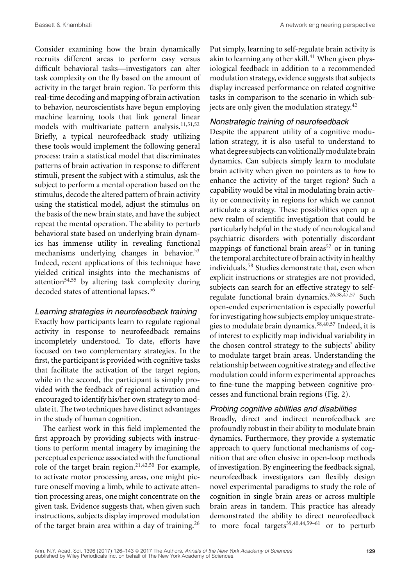Consider examining how the brain dynamically recruits different areas to perform easy versus difficult behavioral tasks—investigators can alter task complexity on the fly based on the amount of activity in the target brain region. To perform this real-time decoding and mapping of brain activation to behavior, neuroscientists have begun employing machine learning tools that link general linear models with multivariate pattern analysis. $11,51,52$ Briefly, a typical neurofeedback study utilizing these tools would implement the following general process: train a statistical model that discriminates patterns of brain activation in response to different stimuli, present the subject with a stimulus, ask the subject to perform a mental operation based on the stimulus, decode the altered pattern of brain activity using the statistical model, adjust the stimulus on the basis of the new brain state, and have the subject repeat the mental operation. The ability to perturb behavioral state based on underlying brain dynamics has immense utility in revealing functional mechanisms underlying changes in behavior.<sup>53</sup> Indeed, recent applications of this technique have yielded critical insights into the mechanisms of attention<sup>54,55</sup> by altering task complexity during decoded states of attentional lapses.<sup>56</sup>

## *Learning strategies in neurofeedback training*

Exactly how participants learn to regulate regional activity in response to neurofeedback remains incompletely understood. To date, efforts have focused on two complementary strategies. In the first, the participant is provided with cognitive tasks that facilitate the activation of the target region, while in the second, the participant is simply provided with the feedback of regional activation and encouraged to identify his/her own strategy to modulate it. The two techniques have distinct advantages in the study of human cognition.

The earliest work in this field implemented the first approach by providing subjects with instructions to perform mental imagery by imagining the perceptual experience associated with the functional role of the target brain region.<sup>21,42,50</sup> For example, to activate motor processing areas, one might picture oneself moving a limb, while to activate attention processing areas, one might concentrate on the given task. Evidence suggests that, when given such instructions, subjects display improved modulation of the target brain area within a day of training.<sup>26</sup> Put simply, learning to self-regulate brain activity is akin to learning any other skill.<sup>41</sup> When given physiological feedback in addition to a recommended modulation strategy, evidence suggests that subjects display increased performance on related cognitive tasks in comparison to the scenario in which subjects are only given the modulation strategy.<sup>42</sup>

## *Nonstrategic training of neurofeedback*

Despite the apparent utility of a cognitive modulation strategy, it is also useful to understand to what degree subjects can volitionally modulate brain dynamics. Can subjects simply learn to modulate brain activity when given no pointers as to *how* to enhance the activity of the target region? Such a capability would be vital in modulating brain activity or connectivity in regions for which we cannot articulate a strategy. These possibilities open up a new realm of scientific investigation that could be particularly helpful in the study of neurological and psychiatric disorders with potentially discordant mappings of functional brain areas $57$  or in tuning the temporal architecture of brain activity in healthy individuals.58 Studies demonstrate that, even when explicit instructions or strategies are not provided, subjects can search for an effective strategy to selfregulate functional brain dynamics.<sup>26,38,47,57</sup> Such open-ended experimentation is especially powerful for investigating how subjects employ unique strategies to modulate brain dynamics.<sup>38,40,57</sup> Indeed, it is of interest to explicitly map individual variability in the chosen control strategy to the subjects' ability to modulate target brain areas. Understanding the relationship between cognitive strategy and effective modulation could inform experimental approaches to fine-tune the mapping between cognitive processes and functional brain regions (Fig. 2).

## *Probing cognitive abilities and disabilities*

Broadly, direct and indirect neurofeedback are profoundly robust in their ability to modulate brain dynamics. Furthermore, they provide a systematic approach to query functional mechanisms of cognition that are often elusive in open-loop methods of investigation. By engineering the feedback signal, neurofeedback investigators can flexibly design novel experimental paradigms to study the role of cognition in single brain areas or across multiple brain areas in tandem. This practice has already demonstrated the ability to direct neurofeedback to more focal targets<sup>39,40,44,59–61</sup> or to perturb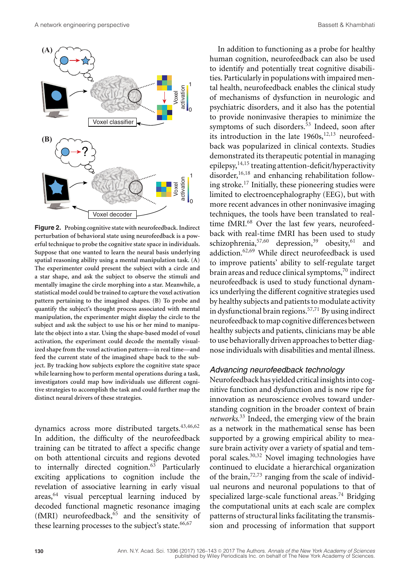

**Figure 2. Probing cognitive state with neurofeedback. Indirect perturbation of behavioral state using neurofeedback is a powerful technique to probe the cognitive state space in individuals. Suppose that one wanted to learn the neural basis underlying spatial reasoning ability using a mental manipulation task. (A) The experimenter could present the subject with a circle and a star shape, and ask the subject to observe the stimuli and mentally imagine the circle morphing into a star. Meanwhile, a statistical model could be trained to capture the voxel activation pattern pertaining to the imagined shapes. (B) To probe and quantify the subject's thought process associated with mental manipulation, the experimenter might display the circle to the subject and ask the subject to use his or her mind to manipulate the object into a star. Using the shape-based model of voxel activation, the experiment could decode the mentally visualized shape from the voxel activation pattern—in real time—and feed the current state of the imagined shape back to the subject. By tracking how subjects explore the cognitive state space while learning how to perform mental operations during a task, investigators could map how individuals use different cognitive strategies to accomplish the task and could further map the distinct neural drivers of these strategies.**

dynamics across more distributed targets.<sup>43,46,62</sup> In addition, the difficulty of the neurofeedback training can be titrated to affect a specific change on both attentional circuits and regions devoted to internally directed cognition.<sup>63</sup> Particularly exciting applications to cognition include the revelation of associative learning in early visual areas,<sup>64</sup> visual perceptual learning induced by decoded functional magnetic resonance imaging  $(fMRI)$  neurofeedback,<sup>65</sup> and the sensitivity of these learning processes to the subject's state.  $66,67$ 

In addition to functioning as a probe for healthy human cognition, neurofeedback can also be used to identify and potentially treat cognitive disabilities. Particularly in populations with impaired mental health, neurofeedback enables the clinical study of mechanisms of dysfunction in neurologic and psychiatric disorders, and it also has the potential to provide noninvasive therapies to minimize the symptoms of such disorders. $\frac{53}{3}$  Indeed, soon after its introduction in the late  $1960s$ ,  $12,13$  neurofeedback was popularized in clinical contexts. Studies demonstrated its therapeutic potential in managing epilepsy, $14,15$  treating attention-deficit/hyperactivity disorder, $16,18$  and enhancing rehabilitation following stroke.<sup>17</sup> Initially, these pioneering studies were limited to electroencephalography (EEG), but with more recent advances in other noninvasive imaging techniques, the tools have been translated to realtime fMRI.<sup>68</sup> Over the last few years, neurofeedback with real-time fMRI has been used to study schizophrenia,<sup>57,60</sup> depression,<sup>39</sup> obesity,<sup>61</sup> and addiction.62,69 While direct neurofeedback is used to improve patients' ability to self-regulate target brain areas and reduce clinical symptoms,<sup>70</sup> indirect neurofeedback is used to study functional dynamics underlying the different cognitive strategies used by healthy subjects and patients to modulate activity in dysfunctional brain regions.<sup>57,71</sup> By using indirect neurofeedback tomap cognitive differences between healthy subjects and patients, clinicians may be able to use behaviorally driven approaches to better diagnose individuals with disabilities and mental illness.

#### *Advancing neurofeedback technology*

Neurofeedback has yielded critical insights into cognitive function and dysfunction and is now ripe for innovation as neuroscience evolves toward understanding cognition in the broader context of brain *networks*. <sup>33</sup> Indeed, the emerging view of the brain as a network in the mathematical sense has been supported by a growing empirical ability to measure brain activity over a variety of spatial and temporal scales.30,32 Novel imaging technologies have continued to elucidate a hierarchical organization of the brain, $72,73$  ranging from the scale of individual neurons and neuronal populations to that of specialized large-scale functional areas.<sup>74</sup> Bridging the computational units at each scale are complex patterns of structural links facilitating the transmission and processing of information that support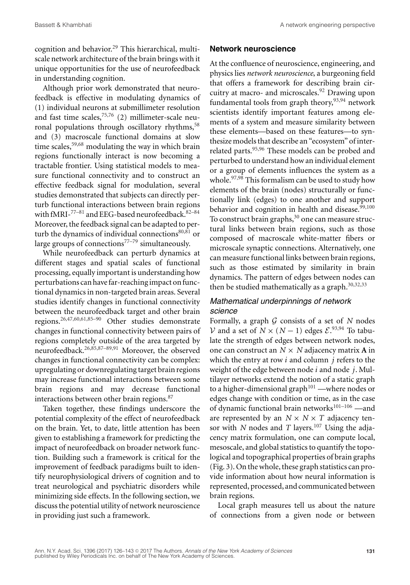cognition and behavior.<sup>29</sup> This hierarchical, multiscale network architecture of the brain brings with it unique opportunities for the use of neurofeedback in understanding cognition.

Although prior work demonstrated that neurofeedback is effective in modulating dynamics of (1) individual neurons at submillimeter resolution and fast time scales,<sup>75,76</sup> (2) millimeter-scale neuronal populations through oscillatory rhythms,<sup>58</sup> and (3) macroscale functional domains at slow time scales,<sup>59,68</sup> modulating the way in which brain regions functionally interact is now becoming a tractable frontier. Using statistical models to measure functional connectivity and to construct an effective feedback signal for modulation, several studies demonstrated that subjects can directly perturb functional interactions between brain regions with fMRI-<sup>77-81</sup> and EEG-based neurofeedback.<sup>82-84</sup> Moreover, the feedback signal can be adapted to perturb the dynamics of individual connections $80,81$  or large groups of connections $77-79$  simultaneously.

While neurofeedback can perturb dynamics at different stages and spatial scales of functional processing, equally important is understanding how perturbations can have far-reaching impact on functional dynamics in non-targeted brain areas. Several studies identify changes in functional connectivity between the neurofeedback target and other brain regions.26,47,60,61,85–90 Other studies demonstrate changes in functional connectivity between pairs of regions completely outside of the area targeted by neurofeedback.26,85,87–89,91 Moreover, the observed changes in functional connectivity can be complex: upregulating or downregulating target brain regions may increase functional interactions between some brain regions and may decrease functional interactions between other brain regions.<sup>87</sup>

Taken together, these findings underscore the potential complexity of the effect of neurofeedback on the brain. Yet, to date, little attention has been given to establishing a framework for predicting the impact of neurofeedback on broader network function. Building such a framework is critical for the improvement of feedback paradigms built to identify neurophysiological drivers of cognition and to treat neurological and psychiatric disorders while minimizing side effects. In the following section, we discuss the potential utility of network neuroscience in providing just such a framework.

#### **Network neuroscience**

At the confluence of neuroscience, engineering, and physics lies *network neuroscience*, a burgeoning field that offers a framework for describing brain circuitry at macro- and microscales.<sup>92</sup> Drawing upon fundamental tools from graph theory,  $93,94$  network scientists identify important features among elements of a system and measure similarity between these elements—based on these features—to synthesize models that describe an "ecosystem" of interrelated parts.95,96 These models can be probed and perturbed to understand how an individual element or a group of elements influences the system as a whole. $97,98$  This formalism can be used to study how elements of the brain (nodes) structurally or functionally link (edges) to one another and support behavior and cognition in health and disease.<sup>99,100</sup> To construct brain graphs,<sup>30</sup> one can measure structural links between brain regions, such as those composed of macroscale white-matter fibers or microscale synaptic connections. Alternatively, one can measure functional links between brain regions, such as those estimated by similarity in brain dynamics. The pattern of edges between nodes can then be studied mathematically as a graph.<sup>30,32,33</sup>

## *Mathematical underpinnings of network science*

Formally, a graph *G* consists of a set of *N* nodes *V* and a set of  $N \times (N-1)$  edges  $\mathcal{E}^{\{93,94\}}$ . To tabulate the strength of edges between network nodes, one can construct an  $N \times N$  adjacency matrix **A** in which the entry at row *i* and column *j* refers to the weight of the edge between node *i* and node *j*. Multilayer networks extend the notion of a static graph to a higher-dimensional graph<sup>101</sup> —where nodes or edges change with condition or time, as in the case of dynamic functional brain networks $101-106$  —and are represented by an  $N \times N \times T$  adjacency tensor with *N* nodes and *T* layers.<sup>107</sup> Using the adjacency matrix formulation, one can compute local, mesoscale, and global statistics to quantify the topological and topographical properties of brain graphs (Fig. 3). On the whole, these graph statistics can provide information about how neural information is represented, processed, and communicated between brain regions.

Local graph measures tell us about the nature of connections from a given node or between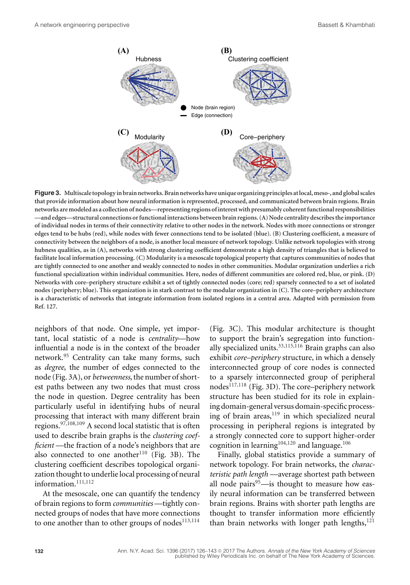

Figure 3. Multiscale topology in brain networks. Brain networks have unique organizing principles at local, meso-, and global scales **that provide information about how neural information is represented, processed, and communicated between brain regions. Brain networks are modeled as a collection of nodes—representing regions of interest with presumably coherent functional responsibilities —and edges—structural connections or functional interactions between brain regions. (A) Node centrality describes the importance of individual nodes in terms of their connectivity relative to other nodes in the network. Nodes with more connections or stronger edges tend to be hubs (red), while nodes with fewer connections tend to be isolated (blue). (B) Clustering coefficient, a measure of connectivity between the neighbors of a node, is another local measure of network topology. Unlike network topologies with strong hubness qualities, as in (A), networks with strong clustering coefficient demonstrate a high density of triangles that is believed to facilitate local information processing. (C) Modularity is a mesoscale topological property that captures communities of nodes that are tightly connected to one another and weakly connected to nodes in other communities. Modular organization underlies a rich functional specialization within individual communities. Here, nodes of different communities are colored red, blue, or pink. (D) Networks with core–periphery structure exhibit a set of tightly connected nodes (core; red) sparsely connected to a set of isolated nodes (periphery; blue). This organization is in stark contrast to the modular organization in (C). The core–periphery architecture is a characteristic of networks that integrate information from isolated regions in a central area. Adapted with permission from Ref. 127.**

neighbors of that node. One simple, yet important, local statistic of a node is *centrality*—how influential a node is in the context of the broader network.<sup>95</sup> Centrality can take many forms, such as *degree*, the number of edges connected to the node (Fig. 3A), or *betweenness*, the number of shortest paths between any two nodes that must cross the node in question. Degree centrality has been particularly useful in identifying hubs of neural processing that interact with many different brain regions.<sup>97,108,109</sup> A second local statistic that is often used to describe brain graphs is the *clustering coefficient* —the fraction of a node's neighbors that are also connected to one another $110$  (Fig. 3B). The clustering coefficient describes topological organization thought to underlie local processing of neural information.<sup>111,112</sup>

At the mesoscale, one can quantify the tendency of brain regions to form *communities* —tightly connected groups of nodes that have more connections to one another than to other groups of nodes<sup>113,114</sup> (Fig. 3C). This modular architecture is thought to support the brain's segregation into functionally specialized units.<sup>33,115,116</sup> Brain graphs can also exhibit *core–periphery* structure, in which a densely interconnected group of core nodes is connected to a sparsely interconnected group of peripheral nodes<sup>117,118</sup> (Fig. 3D). The core-periphery network structure has been studied for its role in explaining domain-general versus domain-specific processing of brain areas, $119$  in which specialized neural processing in peripheral regions is integrated by a strongly connected core to support higher-order cognition in learning<sup>104,120</sup> and language.<sup>106</sup>

Finally, global statistics provide a summary of network topology. For brain networks, the *characteristic path length* —average shortest path between all node pairs $95$ —is thought to measure how easily neural information can be transferred between brain regions. Brains with shorter path lengths are thought to transfer information more efficiently than brain networks with longer path lengths, $121$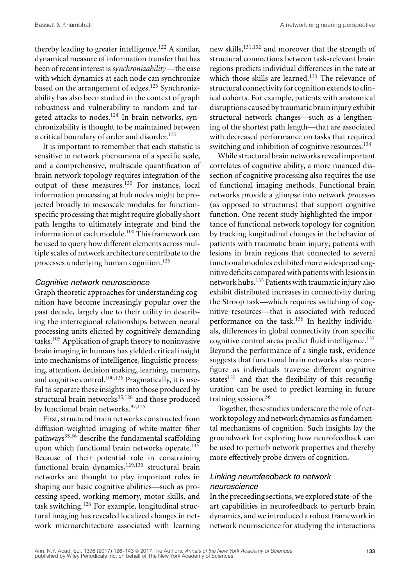thereby leading to greater intelligence.<sup>122</sup> A similar, dynamical measure of information transfer that has been of recent interest is*synchronizability*—the ease with which dynamics at each node can synchronize based on the arrangement of edges.<sup>123</sup> Synchronizability has also been studied in the context of graph robustness and vulnerability to random and targeted attacks to nodes.<sup>124</sup> In brain networks, synchronizability is thought to be maintained between a critical boundary of order and disorder.<sup>125</sup>

It is important to remember that each statistic is sensitive to network phenomena of a specific scale, and a comprehensive, multiscale quantification of brain network topology requires integration of the output of these measures.<sup>120</sup> For instance, local information processing at hub nodes might be projected broadly to mesoscale modules for functionspecific processing that might require globally short path lengths to ultimately integrate and bind the information of each module.<sup>100</sup> This framework can be used to query how different elements across multiple scales of network architecture contribute to the processes underlying human cognition.<sup>126</sup>

#### *Cognitive network neuroscience*

Graph theoretic approaches for understanding cognition have become increasingly popular over the past decade, largely due to their utility in describing the interregional relationships between neural processing units elicited by cognitively demanding tasks.<sup>105</sup> Application of graph theory to noninvasive brain imaging in humans has yielded critical insight into mechanisms of intelligence, linguistic processing, attention, decision making, learning, memory, and cognitive control.<sup>100,126</sup> Pragmatically, it is useful to separate these insights into those produced by structural brain networks<sup>35,128</sup> and those produced by functional brain networks.<sup>97,125</sup>

First, structural brain networks constructed from diffusion-weighted imaging of white-matter fiber pathways<sup>35,36</sup> describe the fundamental scaffolding upon which functional brain networks operate. $115$ Because of their potential role in constraining functional brain dynamics, $129,130$  structural brain networks are thought to play important roles in shaping our basic cognitive abilities—such as processing speed, working memory, motor skills, and task switching.<sup>126</sup> For example, longitudinal structural imaging has revealed localized changes in network microarchitecture associated with learning new skills,131,132 and moreover that the strength of structural connections between task-relevant brain regions predicts individual differences in the rate at which those skills are learned.<sup>133</sup> The relevance of structural connectivity for cognition extends to clinical cohorts. For example, patients with anatomical disruptions caused by traumatic brain injury exhibit structural network changes—such as a lengthening of the shortest path length—that are associated with decreased performance on tasks that required switching and inhibition of cognitive resources.<sup>134</sup>

While structural brain networks reveal important correlates of cognitive ability, a more nuanced dissection of cognitive processing also requires the use of functional imaging methods. Functional brain networks provide a glimpse into network *processes* (as opposed to structures) that support cognitive function. One recent study highlighted the importance of functional network topology for cognition by tracking longitudinal changes in the behavior of patients with traumatic brain injury; patients with lesions in brain regions that connected to several functional modules exhibited more widespread cognitive deficits compared with patients with lesions in network hubs.<sup>135</sup> Patients with traumatic injury also exhibit distributed increases in connectivity during the Stroop task—which requires switching of cognitive resources—that is associated with reduced performance on the task.<sup>136</sup> In healthy individuals, differences in global connectivity from specific cognitive control areas predict fluid intelligence.<sup>137</sup> Beyond the performance of a single task, evidence suggests that functional brain networks also reconfigure as individuals traverse different cognitive states<sup>125</sup> and that the flexibility of this reconfiguration can be used to predict learning in future training sessions.<sup>36</sup>

Together, these studies underscore the role of network topology and network dynamics as fundamental mechanisms of cognition. Such insights lay the groundwork for exploring how neurofeedback can be used to perturb network properties and thereby more effectively probe drivers of cognition.

# *Linking neurofeedback to network neuroscience*

In the preceeding sections, we explored state-of-theart capabilities in neurofeedback to perturb brain dynamics, and we introduced a robust framework in network neuroscience for studying the interactions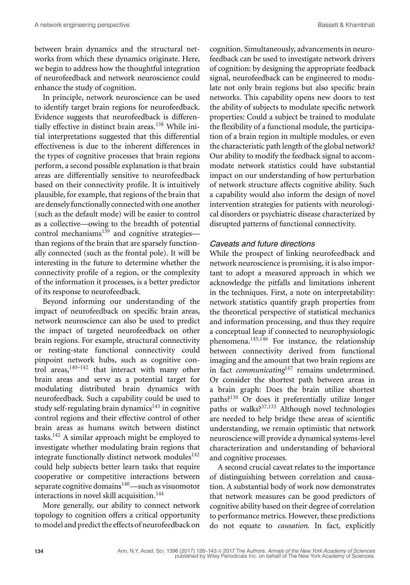between brain dynamics and the structural networks from which these dynamics originate. Here, we begin to address how the thoughtful integration of neurofeedback and network neuroscience could enhance the study of cognition.

In principle, network neuroscience can be used to identify target brain regions for neurofeedback. Evidence suggests that neurofeedback is differentially effective in distinct brain areas.<sup>138</sup> While initial interpretations suggested that this differential effectiveness is due to the inherent differences in the types of cognitive processes that brain regions perform, a second possible explanation is that brain areas are differentially sensitive to neurofeedback based on their connectivity profile. It is intuitively plausible, for example, that regions of the brain that are densely functionally connected with one another (such as the default mode) will be easier to control as a collective—owing to the breadth of potential control mechanisms $^{139}$  and cognitive strategies than regions of the brain that are sparsely functionally connected (such as the frontal pole). It will be interesting in the future to determine whether the connectivity profile of a region, or the complexity of the information it processes, is a better predictor of its response to neurofeedback.

Beyond informing our understanding of the impact of neurofeedback on specific brain areas, network neuroscience can also be used to predict the impact of targeted neurofeedback on other brain regions. For example, structural connectivity or resting-state functional connectivity could pinpoint network hubs, such as cognitive control areas,<sup>140-142</sup> that interact with many other brain areas and serve as a potential target for modulating distributed brain dynamics with neurofeedback. Such a capability could be used to study self-regulating brain dynamics $143$  in cognitive control regions and their effective control of other brain areas as humans switch between distinct tasks.<sup>142</sup> A similar approach might be employed to investigate whether modulating brain regions that integrate functionally distinct network modules $142$ could help subjects better learn tasks that require cooperative or competitive interactions between separate cognitive domains $140$ —such as visuomotor interactions in novel skill acquisition.<sup>144</sup>

More generally, our ability to connect network topology to cognition offers a critical opportunity to model and predict the effects of neurofeedback on cognition. Simultaneously, advancements in neurofeedback can be used to investigate network drivers of cognition: by designing the appropriate feedback signal, neurofeedback can be engineered to modulate not only brain regions but also specific brain networks. This capability opens new doors to test the ability of subjects to modulate specific network properties: Could a subject be trained to modulate the flexibility of a functional module, the participation of a brain region in multiple modules, or even the characteristic path length of the global network? Our ability to modify the feedback signal to accommodate network statistics could have substantial impact on our understanding of how perturbation of network structure affects cognitive ability. Such a capability would also inform the design of novel intervention strategies for patients with neurological disorders or psychiatric disease characterized by disrupted patterns of functional connectivity.

### *Caveats and future directions*

While the prospect of linking neurofeedback and network neuroscience is promising, it is also important to adopt a measured approach in which we acknowledge the pitfalls and limitations inherent in the techniques. First, a note on interpretability: network statistics quantify graph properties from the theoretical perspective of statistical mechanics and information processing, and thus they require a conceptual leap if connected to neurophysiologic phenomena.145,146 For instance, the relationship between connectivity derived from functional imaging and the amount that two brain regions are in fact *communicating*<sup>147</sup> remains undetermined. Or consider the shortest path between areas in a brain graph: Does the brain utilize shortest paths?<sup>130</sup> Or does it preferentially utilize longer paths or walks? $37,133$  Although novel technologies are needed to help bridge these areas of scientific understanding, we remain optimistic that network neuroscience will provide a dynamical systems-level characterization and understanding of behavioral and cognitive processes.

A second crucial caveat relates to the importance of distinguishing between correlation and causation. A substantial body of work now demonstrates that network measures can be good predictors of cognitive ability based on their degree of correlation to performance metrics. However, these predictions do not equate to *causation*. In fact, explicitly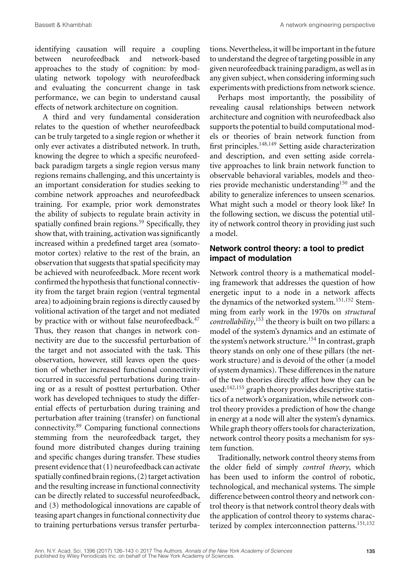identifying causation will require a coupling between neurofeedback and network-based approaches to the study of cognition: by modulating network topology with neurofeedback and evaluating the concurrent change in task performance, we can begin to understand causal effects of network architecture on cognition.

A third and very fundamental consideration relates to the question of whether neurofeedback can be truly targeted to a single region or whether it only ever activates a distributed network. In truth, knowing the degree to which a specific neurofeedback paradigm targets a single region versus many regions remains challenging, and this uncertainty is an important consideration for studies seeking to combine network approaches and neurofeedback training. For example, prior work demonstrates the ability of subjects to regulate brain activity in spatially confined brain regions.<sup>59</sup> Specifically, they show that, with training, activation was significantly increased within a predefined target area (somatomotor cortex) relative to the rest of the brain, an observation that suggests that spatial specificity may be achieved with neurofeedback. More recent work confirmed the hypothesis that functional connectivity from the target brain region (ventral tegmental area) to adjoining brain regions is directly caused by volitional activation of the target and not mediated by practice with or without false neurofeedback.<sup>47</sup> Thus, they reason that changes in network connectivity are due to the successful perturbation of the target and not associated with the task. This observation, however, still leaves open the question of whether increased functional connectivity occurred in successful perturbations during training or as a result of posttest perturbation. Other work has developed techniques to study the differential effects of perturbation during training and perturbation after training (transfer) on functional connectivity.<sup>89</sup> Comparing functional connections stemming from the neurofeedback target, they found more distributed changes during training and specific changes during transfer. These studies present evidence that (1) neurofeedback can activate spatially confined brain regions, (2) target activation and the resulting increase in functional connectivity can be directly related to successful neurofeedback, and (3) methodological innovations are capable of teasing apart changes in functional connectivity due to training perturbations versus transfer perturbations. Nevertheless, it will be important in the future to understand the degree of targeting possible in any given neurofeedback training paradigm, as well as in any given subject, when considering informing such experiments with predictions from network science.

Perhaps most importantly, the possibility of revealing causal relationships between network architecture and cognition with neurofeedback also supports the potential to build computational models or theories of brain network function from first principles.<sup>148,149</sup> Setting aside characterization and description, and even setting aside correlative approaches to link brain network function to observable behavioral variables, models and theories provide mechanistic understanding<sup>150</sup> and the ability to generalize inferences to unseen scenarios. What might such a model or theory look like? In the following section, we discuss the potential utility of network control theory in providing just such a model.

# **Network control theory: a tool to predict impact of modulation**

Network control theory is a mathematical modeling framework that addresses the question of how energetic input to a node in a network affects the dynamics of the networked system.<sup>151,152</sup> Stemming from early work in the 1970s on *structural controllability*, <sup>153</sup> the theory is built on two pillars: a model of the system's dynamics and an estimate of the system's network structure.<sup>154</sup> In contrast, graph theory stands on only one of these pillars (the network structure) and is devoid of the other (a model of system dynamics). These differences in the nature of the two theories directly affect how they can be used:<sup>142,155</sup> graph theory provides descriptive statistics of a network's organization, while network control theory provides a prediction of how the change in energy at a node will alter the system's dynamics. While graph theory offers tools for characterization, network control theory posits a mechanism for system function.

Traditionally, network control theory stems from the older field of simply *control theory*, which has been used to inform the control of robotic, technological, and mechanical systems. The simple difference between control theory and network control theory is that network control theory deals with the application of control theory to systems characterized by complex interconnection patterns.<sup>151,152</sup>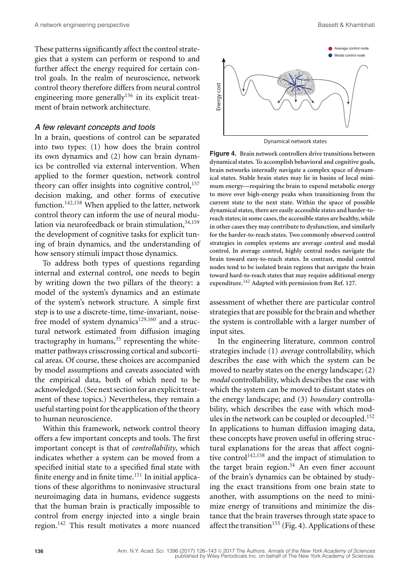These patterns significantly affect the control strategies that a system can perform or respond to and further affect the energy required for certain control goals. In the realm of neuroscience, network control theory therefore differs from neural control engineering more generally<sup>156</sup> in its explicit treatment of brain network architecture.

#### *A few relevant concepts and tools*

In a brain, questions of control can be separated into two types: (1) how does the brain control its own dynamics and (2) how can brain dynamics be controlled via external intervention. When applied to the former question, network control theory can offer insights into cognitive control,  $157$ decision making, and other forms of executive function.142,158 When applied to the latter, network control theory can inform the use of neural modulation via neurofeedback or brain stimulation,  $34,159$ the development of cognitive tasks for explicit tuning of brain dynamics, and the understanding of how sensory stimuli impact those dynamics.

To address both types of questions regarding internal and external control, one needs to begin by writing down the two pillars of the theory: a model of the system's dynamics and an estimate of the system's network structure. A simple first step is to use a discrete-time, time-invariant, noisefree model of system dynamics<sup>129,160</sup> and a structural network estimated from diffusion imaging tractography in humans,  $35$  representing the whitematter pathways crisscrossing cortical and subcortical areas. Of course, these choices are accompanied by model assumptions and caveats associated with the empirical data, both of which need to be acknowledged. (See next section for an explicit treatment of these topics.) Nevertheless, they remain a useful starting point for the application of the theory to human neuroscience.

Within this framework, network control theory offers a few important concepts and tools. The first important concept is that of *controllability*, which indicates whether a system can be moved from a specified initial state to a specified final state with finite energy and in finite time.<sup>151</sup> In initial applications of these algorithms to noninvasive structural neuroimaging data in humans, evidence suggests that the human brain is practically impossible to control from energy injected into a single brain region.<sup>142</sup> This result motivates a more nuanced



**Figure 4. Brain network controllers drive transitions between dynamical states. To accomplish behavioral and cognitive goals, brain networks internally navigate a complex space of dynamical states. Stable brain states may lie in basins of local minimum energy—requiring the brain to expend metabolic energy to move over high-energy peaks when transitioning from the current state to the next state. Within the space of possible dynamical states, there are easily accessible states and harder-toreach states; in some cases, the accessible states are healthy, while in other cases they may contribute to dysfunction, and similarly for the harder-to-reach states. Two commonly observed control strategies in complex systems are average control and modal control. In average control, highly central nodes navigate the brain toward easy-to-reach states. In contrast, modal control nodes tend to be isolated brain regions that navigate the brain toward hard-to-reach states that may require additional energy expenditure.**<sup>142</sup> **Adapted with permission from Ref. 127.**

assessment of whether there are particular control strategies that are possible for the brain and whether the system is controllable with a larger number of input sites.

In the engineering literature, common control strategies include (1) *average* controllability, which describes the ease with which the system can be moved to nearby states on the energy landscape; (2) *modal* controllability, which describes the ease with which the system can be moved to distant states on the energy landscape; and (3) *boundary* controllability, which describes the ease with which modules in the network can be coupled or decoupled.<sup>152</sup> In applications to human diffusion imaging data, these concepts have proven useful in offering structural explanations for the areas that affect cognitive control<sup>142,158</sup> and the impact of stimulation to the target brain region.<sup>34</sup> An even finer account of the brain's dynamics can be obtained by studying the exact transitions from one brain state to another, with assumptions on the need to minimize energy of transitions and minimize the distance that the brain traverses through state space to affect the transition<sup>155</sup> (Fig. 4). Applications of these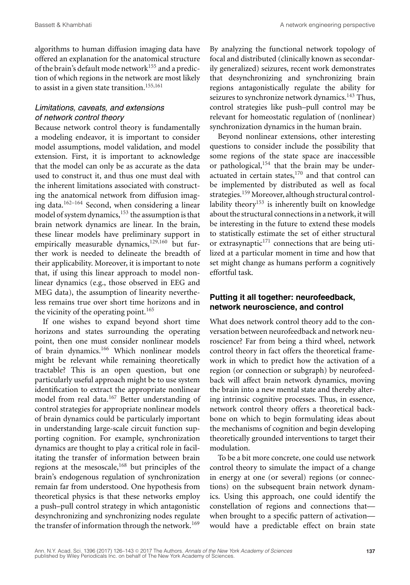algorithms to human diffusion imaging data have offered an explanation for the anatomical structure of the brain's default mode network<sup>155</sup> and a prediction of which regions in the network are most likely to assist in a given state transition.<sup>155,161</sup>

# *Limitations, caveats, and extensions of network control theory*

Because network control theory is fundamentally a modeling endeavor, it is important to consider model assumptions, model validation, and model extension. First, it is important to acknowledge that the model can only be as accurate as the data used to construct it, and thus one must deal with the inherent limitations associated with constructing the anatomical network from diffusion imaging data.162–164 Second, when considering a linear model of system dynamics,<sup>153</sup> the assumption is that brain network dynamics are linear. In the brain, these linear models have preliminary support in empirically measurable dynamics,<sup>129,160</sup> but further work is needed to delineate the breadth of their applicability. Moreover, it is important to note that, if using this linear approach to model nonlinear dynamics (e.g., those observed in EEG and MEG data), the assumption of linearity nevertheless remains true over short time horizons and in the vicinity of the operating point.<sup>165</sup>

If one wishes to expand beyond short time horizons and states surrounding the operating point, then one must consider nonlinear models of brain dynamics.<sup>166</sup> Which nonlinear models might be relevant while remaining theoretically tractable? This is an open question, but one particularly useful approach might be to use system identification to extract the appropriate nonlinear model from real data.<sup>167</sup> Better understanding of control strategies for appropriate nonlinear models of brain dynamics could be particularly important in understanding large-scale circuit function supporting cognition. For example, synchronization dynamics are thought to play a critical role in facilitating the transfer of information between brain regions at the mesoscale,<sup>168</sup> but principles of the brain's endogenous regulation of synchronization remain far from understood. One hypothesis from theoretical physics is that these networks employ a push–pull control strategy in which antagonistic desynchronizing and synchronizing nodes regulate the transfer of information through the network.<sup>169</sup>

By analyzing the functional network topology of focal and distributed (clinically known as secondarily generalized) seizures, recent work demonstrates that desynchronizing and synchronizing brain regions antagonistically regulate the ability for seizures to synchronize network dynamics.<sup>143</sup> Thus, control strategies like push–pull control may be relevant for homeostatic regulation of (nonlinear) synchronization dynamics in the human brain.

Beyond nonlinear extensions, other interesting questions to consider include the possibility that some regions of the state space are inaccessible or pathological, $154$  that the brain may be underactuated in certain states, $170$  and that control can be implemented by distributed as well as focal strategies.<sup>159</sup> Moreover, although structural controllability theory<sup>153</sup> is inherently built on knowledge about the structural connections in a network, it will be interesting in the future to extend these models to statistically estimate the set of either structural or extrasynaptic<sup>171</sup> connections that are being utilized at a particular moment in time and how that set might change as humans perform a cognitively effortful task.

# **Putting it all together: neurofeedback, network neuroscience, and control**

What does network control theory add to the conversation between neurofeedback and network neuroscience? Far from being a third wheel, network control theory in fact offers the theoretical framework in which to predict how the activation of a region (or connection or subgraph) by neurofeedback will affect brain network dynamics, moving the brain into a new mental state and thereby altering intrinsic cognitive processes. Thus, in essence, network control theory offers a theoretical backbone on which to begin formulating ideas about the mechanisms of cognition and begin developing theoretically grounded interventions to target their modulation.

To be a bit more concrete, one could use network control theory to simulate the impact of a change in energy at one (or several) regions (or connections) on the subsequent brain network dynamics. Using this approach, one could identify the constellation of regions and connections that when brought to a specific pattern of activation would have a predictable effect on brain state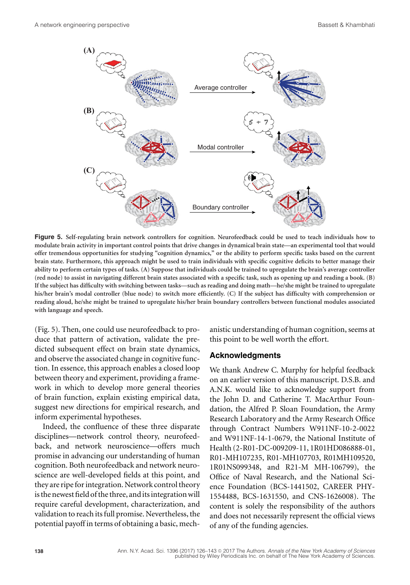

**Figure 5. Self-regulating brain network controllers for cognition. Neurofeedback could be used to teach individuals how to modulate brain activity in important control points that drive changes in dynamical brain state—an experimental tool that would offer tremendous opportunities for studying "cognition dynamics," or the ability to perform specific tasks based on the current brain state. Furthermore, this approach might be used to train individuals with specific cognitive deficits to better manage their ability to perform certain types of tasks. (A) Suppose that individuals could be trained to upregulate the brain's average controller (red node) to assist in navigating different brain states associated with a specific task, such as opening up and reading a book. (B) If the subject has difficulty with switching between tasks—such as reading and doing math—he/she might be trained to upregulate his/her brain's modal controller (blue node) to switch more efficiently. (C) If the subject has difficulty with comprehension or reading aloud, he/she might be trained to upregulate his/her brain boundary controllers between functional modules associated with language and speech.**

(Fig. 5). Then, one could use neurofeedback to produce that pattern of activation, validate the predicted subsequent effect on brain state dynamics, and observe the associated change in cognitive function. In essence, this approach enables a closed loop between theory and experiment, providing a framework in which to develop more general theories of brain function, explain existing empirical data, suggest new directions for empirical research, and inform experimental hypotheses.

Indeed, the confluence of these three disparate disciplines—network control theory, neurofeedback, and network neuroscience—offers much promise in advancing our understanding of human cognition. Both neurofeedback and network neuroscience are well-developed fields at this point, and they are ripe for integration. Network control theory is the newest field of the three, and its integrationwill require careful development, characterization, and validation to reach its full promise. Nevertheless, the potential payoff in terms of obtaining a basic, mechanistic understanding of human cognition, seems at this point to be well worth the effort.

#### **Acknowledgments**

We thank Andrew C. Murphy for helpful feedback on an earlier version of this manuscript. D.S.B. and A.N.K. would like to acknowledge support from the John D. and Catherine T. MacArthur Foundation, the Alfred P. Sloan Foundation, the Army Research Laboratory and the Army Research Office through Contract Numbers W911NF-10-2-0022 and W911NF-14-1-0679, the National Institute of Health (2-R01-DC-009209-11, 1R01HD086888-01, R01-MH107235, R01-MH107703, R01MH109520, 1R01NS099348, and R21-M MH-106799), the Office of Naval Research, and the National Science Foundation (BCS-1441502, CAREER PHY-1554488, BCS-1631550, and CNS-1626008). The content is solely the responsibility of the authors and does not necessarily represent the official views of any of the funding agencies.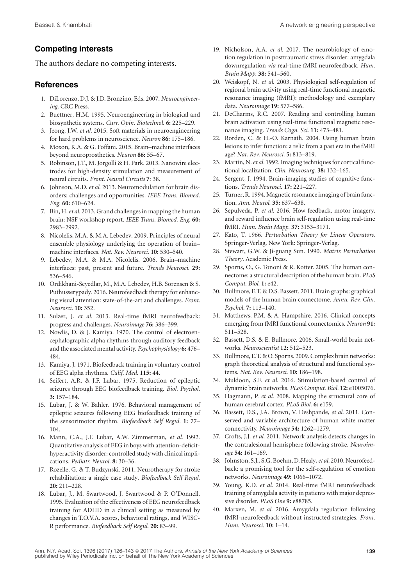# **Competing interests**

The authors declare no competing interests.

#### **References**

- 1. DiLorenzo, D.J. & J.D. Bronzino, Eds. 2007. *Neuroengineering*. CRC Press.
- 2. Buettner, H.M. 1995. Neuroengineering in biological and biosynthetic systems. *Curr. Opin. Biotechnol.* **6:** 225–229.
- 3. Jeong, J.W. *et al.* 2015. Soft materials in neuroengineering for hard problems in neuroscience. *Neuron* **86:** 175–186.
- 4. Moxon, K.A. & G. Foffani. 2015. Brain–machine interfaces beyond neuroprosthetics. *Neuron* **86:** 55–67.
- 5. Robinson, J.T., M. Jorgolli & H. Park. 2013. Nanowire electrodes for high-density stimulation and measurement of neural circuits. *Front. Neural Circuits* **7**: 38.
- 6. Johnson, M.D. *et al.* 2013. Neuromodulation for brain disorders: challenges and opportunities. *IEEE Trans. Biomed. Eng.* **60:** 610–624.
- 7. Bin, H.*et al.* 2013. Grand challenges in mapping the human brain: NSF workshop report. *IEEE Trans. Biomed. Eng.* **60:** 2983–2992.
- 8. Nicolelis, M.A. & M.A. Lebedev. 2009. Principles of neural ensemble physiology underlying the operation of brain– machine interfaces. *Nat. Rev. Neurosci.* **10:** 530–540.
- 9. Lebedev, M.A. & M.A. Nicolelis. 2006. Brain–machine interfaces: past, present and future. *Trends Neurosci.* **29:** 536–546.
- 10. Ordikhani-Seyedlar, M., M.A. Lebedev, H.B. Sorensen & S. Puthusserypady. 2016. Neurofeedback therapy for enhancing visual attention: state-of-the-art and challenges. *Front. Neurosci.* **10:** 352.
- 11. Sulzer, J. *et al.* 2013. Real-time fMRI neurofeedback: progress and challenges. *Neuroimage* **76:** 386–399.
- 12. Nowlis, D. & J. Kamiya. 1970. The control of electroencephalographic alpha rhythms through auditory feedback and the associated mental activity. *Psychophysiology* **6:** 476– 484.
- 13. Kamiya, J. 1971. Biofeedback training in voluntary control of EEG alpha rhythms. *Calif. Med.* **115:** 44.
- 14. Seifert, A.R. & J.F. Lubar. 1975. Reduction of epileptic seizures through EEG biofeedback training. *Biol. Psychol.* **3:** 157–184.
- 15. Lubar, J. & W. Bahler. 1976. Behavioral management of epileptic seizures following EEG biofeedback training of the sensorimotor rhythm. *Biofeedback Self Regul.* **1:** 77– 104.
- 16. Mann, C.A., J.F. Lubar, A.W. Zimmerman, *et al.* 1992. Quantitative analysis of EEG in boys with attention-deficithyperactivity disorder: controlled study with clinical implications. *Pediatr. Neurol.* **8:** 30–36.
- 17. Rozelle, G. & T. Budzynski. 2011. Neurotherapy for stroke rehabilitation: a single case study. *Biofeedback Self Regul.* **20:** 211–228.
- 18. Lubar, J., M. Swartwood, J. Swartwood & P. O'Donnell. 1995. Evaluation of the effectiveness of EEG neurofeedback training for ADHD in a clinical setting as measured by changes in T.O.V.A. scores, behavioral ratings, and WISC-R performance. *Biofeedback Self Regul.* **20:** 83–99.
- 19. Nicholson, A.A. *et al.* 2017. The neurobiology of emotion regulation in posttraumatic stress disorder: amygdala downregulation *via* real-time fMRI neurofeedback. *Hum. Brain Mapp.* **38:** 541–560.
- 20. Weiskopf, N. *et al.* 2003. Physiological self-regulation of regional brain activity using real-time functional magnetic resonance imaging (fMRI): methodology and exemplary data. *Neuroimage* **19:** 577–586.
- 21. DeCharms, R.C. 2007. Reading and controlling human brain activation using real-time functional magnetic resonance imaging. *Trends Cogn. Sci.* **11:** 473–481.
- 22. Rorden, C. & H.-O. Karnath. 2004. Using human brain lesions to infer function: a relic from a past era in the fMRI age? *Nat. Rev. Neurosci.* **5:** 813–819.
- 23. Martin, N.*et al.* 1992. Imaging techniques for cortical functional localization. *Clin. Neurosurg.* **38:** 132–165.
- 24. Sergent, J. 1994. Brain-imaging studies of cognitive functions. *Trends Neurosci.* **17:** 221–227.
- 25. Turner, R. 1994. Magnetic resonance imaging of brain function. *Ann. Neurol.* **35:** 637–638.
- 26. Sepulveda, P. *et al.* 2016. How feedback, motor imagery, and reward influence brain self-regulation using real-time fMRI. *Hum. Brain Mapp.* **37:** 3153–3171.
- 27. Kato, T. 1966. *Perturbation Theory for Linear Operators*. Springer-Verlag, New York: Springer-Verlag.
- 28. Stewart, G.W. & Ji-guang Sun. 1990. *Matrix Perturbation Theory*. Academic Press.
- 29. Sporns, O., G. Tononi & R. Kotter. 2005. The human connectome: a structural description of the human brain. *PLoS Comput. Biol.* **1:** e42.
- 30. Bullmore, E.T. & D.S. Bassett. 2011. Brain graphs: graphical models of the human brain connectome. *Annu. Rev. Clin. Psychol.* **7:** 113–140.
- 31. Matthews, P.M. & A. Hampshire. 2016. Clinical concepts emerging from fMRI functional connectomics. *Neuron* **91:** 511–528.
- 32. Bassett, D.S. & E. Bullmore. 2006. Small-world brain networks. *Neuroscientist* **12:** 512–523.
- 33. Bullmore, E.T. & O. Sporns. 2009. Complex brain networks: graph theoretical analysis of structural and functional systems. *Nat. Rev. Neurosci.* **10:** 186–198.
- 34. Muldoon, S.F. *et al.* 2016. Stimulation-based control of dynamic brain networks. *PLoS Comput. Biol.* **12:** e1005076.
- 35. Hagmann, P. *et al.* 2008. Mapping the structural core of human cerebral cortex. *PLoS Biol.* **6:** e159.
- 36. Bassett, D.S., J.A. Brown, V. Deshpande, *et al.* 2011. Conserved and variable architecture of human white matter connectivity. *Neuroimage* **54:** 1262–1279.
- 37. Crofts, J.J. *et al.* 2011. Network analysis detects changes in the contralesional hemisphere following stroke. *Neuroimage* **54:** 161–169.
- 38. Johnston, S.J., S.G. Boehm, D. Healy,*et al.* 2010. Neurofeedback: a promising tool for the self-regulation of emotion networks. *Neuroimage* **49:** 1066–1072.
- 39. Young, K.D. *et al.* 2014. Real-time fMRI neurofeedback training of amygdala activity in patients with major depressive disorder. *PLoS One* **9:** e88785.
- 40. Marxen, M. *et al.* 2016. Amygdala regulation following fMRI-neurofeedback without instructed strategies. *Front. Hum. Neurosci.* **10:** 1–14.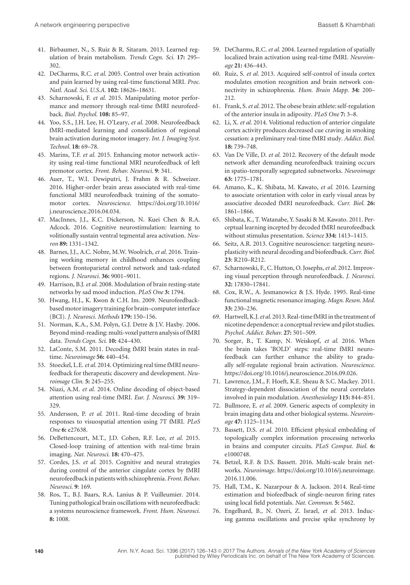- 41. Birbaumer, N., S. Ruiz & R. Sitaram. 2013. Learned regulation of brain metabolism. *Trends Cogn. Sci.* **17:** 295– 302.
- 42. DeCharms, R.C. *et al.* 2005. Control over brain activation and pain learned by using real-time functional MRI. *Proc. Natl. Acad. Sci. U.S.A.* **102:** 18626–18631.
- 43. Scharnowski, F. *et al.* 2015. Manipulating motor performance and memory through real-time fMRI neurofeedback. *Biol. Psychol.* **108:** 85–97.
- 44. Yoo, S.S., J.H. Lee, H. O'Leary, *et al.* 2008. Neurofeedback fMRI-mediated learning and consolidation of regional brain activation during motor imagery. *Int. J. Imaging Syst. Technol.* **18:** 69–78.
- 45. Marins, T.F. *et al.* 2015. Enhancing motor network activity using real-time functional MRI neurofeedback of left premotor cortex. *Front. Behav. Neurosci.* **9**: 341.
- 46. Auer, T., W.I. Dewiputri, J. Frahm & R. Schweizer. 2016. Higher-order brain areas associated with real-time functional MRI neurofeedback training of the somatomotor cortex. *Neuroscience*. [https://doi.org/10.1016/](https://doi.org/10.1016/j.neuroscience.2016.04.034) [j.neuroscience.2016.04.034.](https://doi.org/10.1016/j.neuroscience.2016.04.034)
- 47. MacInnes, J.J., K.C. Dickerson, N. Kuei Chen & R.A. Adcock. 2016. Cognitive neurostimulation: learning to volitionally sustain ventral tegmental area activation. *Neuron* **89:** 1331–1342.
- 48. Barnes, J.J., A.C. Nobre, M.W. Woolrich, *et al.* 2016. Training working memory in childhood enhances coupling between frontoparietal control network and task-related regions. *J. Neurosci.* **36:** 9001–9011.
- 49. Harrison, B.J. *et al.* 2008. Modulation of brain resting-state networks by sad mood induction. *PLoS One* **3:** 1794.
- 50. Hwang, H.J., K. Kwon & C.H. Im. 2009. Neurofeedbackbasedmotor imagery trainingfor brain–computer interface (BCI). *J. Neurosci. Methods* **179:** 150–156.
- 51. Norman, K.A., S.M. Polyn, G.J. Detre & J.V. Haxby. 2006. Beyond mind-reading: multi-voxel pattern analysis offMRI data. *Trends Cogn. Sci.* **10:** 424–430.
- 52. LaConte, S.M. 2011. Decoding fMRI brain states in realtime. *Neuroimage* **56:** 440–454.
- 53. Stoeckel, L.E.*et al.* 2014. Optimizing real time fMRI neurofeedback for therapeutic discovery and development. *Neuroimage Clin.* **5:** 245–255.
- 54. Niazi, A.M. *et al.* 2014. Online decoding of object-based attention using real-time fMRI. *Eur. J. Neurosci.* **39:** 319– 329.
- 55. Andersson, P. *et al.* 2011. Real-time decoding of brain responses to visuospatial attention using 7T fMRI. *PLoS One* **6:** e27638.
- 56. DeBettencourt, M.T., J.D. Cohen, R.F. Lee, *et al.* 2015. Closed-loop training of attention with real-time brain imaging. *Nat. Neurosci.* **18:** 470–475.
- 57. Cordes, J.S. *et al.* 2015. Cognitive and neural strategies during control of the anterior cingulate cortex by fMRI neurofeedback in patientswith schizophrenia. *Front. Behav. Neurosci.* **9**: 169.
- 58. Ros, T., B.J. Baars, R.A. Lanius & P. Vuilleumier. 2014. Tuning pathological brain oscillations with neurofeedback: a systems neuroscience framework. *Front. Hum. Neurosci.* **8:** 1008.
- 59. DeCharms, R.C. *et al.* 2004. Learned regulation of spatially localized brain activation using real-time fMRI. *Neuroimage* **21:** 436–443.
- 60. Ruiz, S. *et al.* 2013. Acquired self-control of insula cortex modulates emotion recognition and brain network connectivity in schizophrenia. *Hum. Brain Mapp.* **34:** 200– 212.
- 61. Frank, S.*et al.* 2012. The obese brain athlete: self-regulation of the anterior insula in adiposity. *PLoS One* **7:** 3–8.
- 62. Li, X. *et al.* 2014. Volitional reduction of anterior cingulate cortex activity produces decreased cue craving in smoking cessation: a preliminary real-time fMRI study. *Addict. Biol.* **18:** 739–748.
- 63. Van De Ville, D. *et al.* 2012. Recovery of the default mode network after demanding neurofeedback training occurs in spatio-temporally segregated subnetworks. *Neuroimage* **63:** 1775–1781.
- 64. Amano, K., K. Shibata, M. Kawato, *et al.* 2016. Learning to associate orientation with color in early visual areas by associative decoded fMRI neurofeedback. *Curr. Biol.* **26:** 1861–1866.
- 65. Shibata, K., T. Watanabe, Y. Sasaki & M. Kawato. 2011. Perceptual learning incepted by decoded fMRI neurofeedback without stimulus presentation. *Science* **334:** 1413–1415.
- 66. Seitz, A.R. 2013. Cognitive neuroscience: targeting neuroplasticity with neural decoding and biofeedback. *Curr. Biol.* **23**: R210–R212.
- 67. Scharnowski, F., C. Hutton, O. Josephs,*et al.* 2012. Improving visual perception through neurofeedback. *J. Neurosci.* **32:** 17830–17841.
- 68. Cox, R.W., A. Jesmanowicz & J.S. Hyde. 1995. Real-time functional magnetic resonance imaging.*Magn. Reson.Med.* **33:** 230–236.
- 69. Hartwell, K.J.*et al.* 2013. Real-timefMRI in the treatment of nicotine dependence: a conceptual review and pilot studies. *Psychol. Addict. Behav.* **27:** 501–509.
- 70. Sorger, B., T. Kamp, N. Weiskopf, *et al.* 2016. When the brain takes 'BOLD' steps: real-time fMRI neurofeedback can further enhance the ability to gradually self-regulate regional brain activation. *Neuroscience*. [https://doi.org/10.1016/j.neuroscience.2016.09.026.](https://doi.org/10.1016/j.neuroscience.2016.09.026)
- 71. Lawrence, J.M., F. Hoeft, K.E. Sheau & S.C. Mackey. 2011. Strategy-dependent dissociation of the neural correlates involved in pain modulation. *Anesthesiology* **115:** 844–851.
- 72. Bullmore, E. *et al.* 2009. Generic aspects of complexity in brain imaging data and other biological systems. *Neuroimage* **47:** 1125–1134.
- 73. Bassett, D.S. *et al.* 2010. Efficient physical embedding of topologically complex information processing networks in brains and computer circuits. *PLoS Comput. Biol.* **6:** e1000748.
- 74. Betzel, R.F. & D.S. Bassett. 2016. Multi-scale brain networks. *Neuroimage*. [https://doi.org/10.1016/j.neuroimage.](https://doi.org/10.1016/j.neuroimage.2016.11.006) [2016.11.006.](https://doi.org/10.1016/j.neuroimage.2016.11.006)
- 75. Hall, T.M., K. Nazarpour & A. Jackson. 2014. Real-time estimation and biofeedback of single-neuron firing rates using local field potentials. *Nat. Commun.* **5:** 5462.
- 76. Engelhard, B., N. Ozeri, Z. Israel, *et al.* 2013. Inducing gamma oscillations and precise spike synchrony by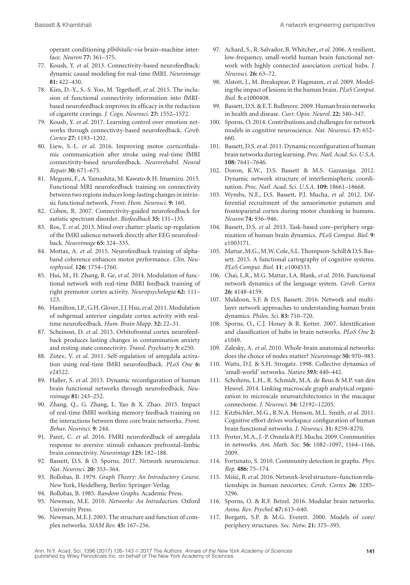operant conditioning *plbibitalic-via* brain–machine interface. *Neuron* **77:** 361–375.

- 77. Koush, Y. *et al.* 2013. Connectivity-based neurofeedback: dynamic causal modeling for real-time fMRI. *Neuroimage* **81:** 422–430.
- 78. Kim, D.-Y., S.-S. Yoo, M. Tegethoff, *et al.* 2015. The inclusion of functional connectivity information into fMRIbased neurofeedback improves its efficacy in the reduction of cigarette cravings. *J. Cogn. Neurosci.* **27:** 1552–1572.
- 79. Koush, Y. *et al.* 2017. Learning control over emotion networks through connectivity-based neurofeedback. *Cereb. Cortex* **27:** 1193–1202.
- 80. Liew, S.-L. *et al.* 2016. Improving motor corticothalamic communication after stroke using real-time fMRI connectivity-based neurofeedback. *Neurorehabil. Neural Repair* **30:** 671–675.
- 81. Megumi, F., A. Yamashita, M. Kawato & H. Imamizu. 2015. Functional MRI neurofeedback training on connectivity between two regions induces long-lasting changes in intrinsic functional network. *Front. Hum. Neurosci.* **9:** 160.
- 82. Coben, R. 2007. Connectivity-guided neurofeedback for autistic spectrum disorder. *Biofeedback* **35:** 131–135.
- 83. Ros, T. *et al.* 2013. Mind over chatter: plastic up-regulation of the fMRI salience network directly after EEG neurofeedback. *Neuroimage* **65:** 324–335.
- 84. Mottaz, A. *et al.* 2015. Neurofeedback training of alphaband coherence enhances motor performance. *Clin. Neurophysiol.* **126:** 1754–1760.
- 85. Hui, M., H. Zhang, R. Ge, *et al.* 2014. Modulation of functional network with real-time fMRI feedback training of right premotor cortex activity. *Neuropsychologia* **62:** 111– 123.
- 86. Hamilton, J.P., G.H. Glover, J.J. Hsu,*et al.* 2011.Modulation of subgenual anterior cingulate cortex activity with realtime neurofeedback. *Hum. Brain Mapp.* **32:** 22–31.
- 87. Scheinost, D. *et al.* 2013. Orbitofrontal cortex neurofeedback produces lasting changes in contamination anxiety and resting-state connectivity. *Transl. Psychiatry* **3:** e250.
- 88. Zotev, V. *et al.* 2011. Self-regulation of amygdala activation using real-time fMRI neurofeedback. *PLoS One* **6:** e24522.
- 89. Haller, S. *et al.* 2013. Dynamic reconfiguration of human brain functional networks through neurofeedback. *Neuroimage* **81:** 243–252.
- 90. Zhang, Q., G. Zhang, L. Yao & X. Zhao. 2015. Impact of real-time fMRI working memory feedback training on the interactions between three core brain networks. *Front. Behav. Neurosci.* **9**: 244.
- 91. Paret, C. *et al.* 2016. FMRI neurofeedback of amygdala response to aversive stimuli enhances prefrontal–limbic brain connectivity. *Neuroimage* **125:** 182–188.
- 92. Bassett, D.S. & O. Sporns. 2017. Network neuroscience. *Nat. Neurosci.* **20:** 353–364.
- 93. Bollobas, B. 1979. *Graph Theory: An Introductory Course*. New York, Heidelberg, Berlin: Springer-Verlag.
- 94. Bollobas, B. 1985. *Random Graphs*. Academic Press.
- 95. Newman, M.E. 2010. *Networks: An Introduction*. Oxford University Press.
- 96. Newman, M.E.J. 2003. The structure and function of complex networks. *SIAM Rev.* **45:** 167–256.
- 97. Achard, S., R. Salvador, B. Whitcher, *et al.* 2006. A resilient, low-frequency, small-world human brain functional network with highly connected association cortical hubs. *J. Neurosci.* **26:** 63–72.
- 98. Alstott, J., M. Breakspear, P. Hagmann, *et al.* 2009. Modeling the impact of lesions in the human brain. *PLoS Comput. Biol.* **5:** e1000408.
- 99. Bassett, D.S. & E.T. Bullmore. 2009. Human brain networks in health and disease. *Curr. Opin. Neurol.* **22:** 340–347.
- 100. Sporns, O. 2014. Contributions and challenges for network models in cognitive neuroscience. *Nat. Neurosci.* **17:** 652– 660.
- 101. Bassett, D.S.*et al.* 2011. Dynamic reconfiguration of human brain networks during learning. *Proc. Natl. Acad. Sci. U.S.A.* **108:** 7641–7646.
- 102. Doron, K.W., D.S. Bassett & M.S. Gazzaniga. 2012. Dynamic network structure of interhemispheric coordination. *Proc. Natl. Acad. Sci. U.S.A.* **109:** 18661–18668.
- 103. Wymbs, N.F., D.S. Bassett, P.J. Mucha, *et al.* 2012. Differential recruitment of the sensorimotor putamen and frontoparietal cortex during motor chunking in humans. *Neuron* **74:** 936–946.
- 104. Bassett, D.S. *et al.* 2013. Task-based core–periphery organization of human brain dynamics. *PLoS Comput. Biol.* **9**: e1003171.
- 105. Mattar, M.G., M.W. Cole, S.L. Thompson-Schill & D.S. Bassett. 2015. A functional cartography of cognitive systems. *PLoS Comput. Biol.* **11**: e1004533.
- 106. Chai, L.R., M.G. Mattar, I.A. Blank, *et al.* 2016. Functional network dynamics of the language system. *Cereb. Cortex* **26:** 4148-4159.
- 107. Muldoon, S.F. & D.S. Bassett. 2016. Network and multilayer network approaches to understanding human brain dynamics. *Philos. Sci.* **83:** 710–720.
- 108. Sporns, O., C.J. Honey & R. Kotter. 2007. Identification and classification of hubs in brain networks. *PLoS One* **2:** e1049.
- 109. Zalesky, A. *et al.* 2010. Whole-brain anatomical networks: does the choice of nodes matter? *Neuroimage* **50:** 970–983.
- 110. Watts, D.J. & S.H. Strogatz. 1998. Collective dynamics of 'small-world' networks. *Nature* **393:** 440–442.
- 111. Scholtens, L.H., R. Schmidt, M.A. de Reus & M.P. van den Heuvel. 2014. Linking macroscale graph analytical organization to microscale neuroarchitectonics in the macaque connectome. *J. Neurosci.* **34:** 12192–12205.
- 112. Kitzbichler, M.G., R.N.A. Henson, M.L. Smith, *et al.* 2011. Cognitive effort drives workspace configuration of human brain functional networks. *J. Neurosci.* **31:** 8259–8270.
- 113. Porter,M.A., J.-P. Onnela & P.J.Mucha. 2009. Communities in networks. *Am. Math. Soc.* **56:** 1082–1097, 1164–1166, 2009.
- 114. Fortunato, S. 2010. Community detection in graphs. *Phys. Rep.* **486:** 75–174.
- 115. Mišić, B. et al. 2016. Network-level structure–function relationships in human neocortex. *Cereb. Cortex* **26:** 3285– 3296.
- 116. Sporns, O. & R.F. Betzel. 2016. Modular brain networks. *Annu. Rev. Psychol.* **67:** 613–640.
- 117. Borgatti, S.P. & M.G. Everett. 2000. Models of core/ periphery structures. *Soc. Netw.* **21:** 375–395.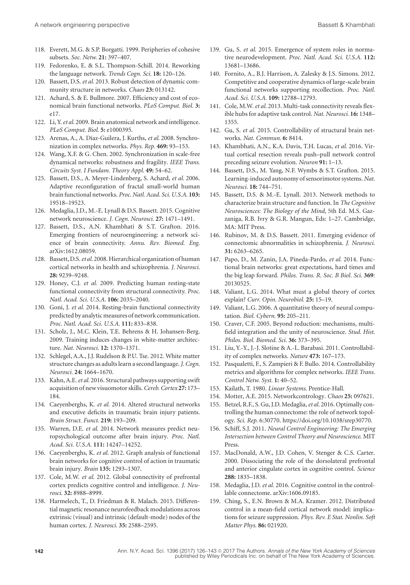- 118. Everett, M.G. & S.P. Borgatti. 1999. Peripheries of cohesive subsets. *Soc. Netw.* **21:** 397–407.
- 119. Fedorenko, E. & S.L. Thompson-Schill. 2014. Reworking the language network. *Trends Cogn. Sci.* **18:** 120–126.
- 120. Bassett, D.S. *et al.* 2013. Robust detection of dynamic community structure in networks. *Chaos* **23:** 013142.
- 121. Achard, S. & E. Bullmore. 2007. Efficiency and cost of economical brain functional networks. *PLoS Comput. Biol.* **3:** e17.
- 122. Li, Y.*et al.* 2009. Brain anatomical network and intelligence. *PLoS Comput. Biol.* **5:** e1000395.
- 123. Arenas, A., A. Díaz-Guilera, J. Kurths, et al. 2008. Synchronization in complex networks. *Phys. Rep.* **469:** 93–153.
- 124. Wang, X.F. & G. Chen. 2002. Synchronization in scale-free dynamical networks: robustness and fragility. *IEEE Trans. Circuits Syst. I Fundam. Theory Appl.* **49:** 54–62.
- 125. Bassett, D.S., A. Meyer-Lindenberg, S. Achard, *et al.* 2006. Adaptive reconfiguration of fractal small-world human brain functional networks. *Proc. Natl. Acad. Sci. U.S.A.* **103:** 19518–19523.
- 126. Medaglia, J.D., M.-E. Lynall & D.S. Bassett. 2015. Cognitive network neuroscience. *J. Cogn. Neurosci.* **27:** 1471–1491.
- 127. Bassett, D.S., A.N. Khambhati & S.T. Grafton. 2016. Emerging frontiers of neuroengineering: a network science of brain connectivity. *Annu. Rev. Biomed. Eng.* arXiv:1612.08059.
- 128. Bassett, D.S.*et al.* 2008. Hierarchical organization of human cortical networks in health and schizophrenia. *J. Neurosci.* **28:** 9239–9248.
- 129. Honey, C.J. *et al.* 2009. Predicting human resting-state functional connectivity from structural connectivity. *Proc. Natl. Acad. Sci. U.S.A.* **106:** 2035–2040.
- 130. Goni, J. *et al.* 2014. Resting-brain functional connectivity predicted by analytic measures of network communication. *Proc. Natl. Acad. Sci. U.S.A.* **111:** 833–838.
- 131. Scholz, J., M.C. Klein, T.E. Behrens & H. Johansen-Berg. 2009. Training induces changes in white-matter architecture. *Nat. Neurosci.* **12:** 1370–1371.
- 132. Schlegel, A.A., J.J. Rudelson & P.U. Tse. 2012. White matter structure changes as adults learn a second language.*J. Cogn. Neurosci.* **24:** 1664–1670.
- 133. Kahn, A.E.*et al.* 2016. Structural pathways supporting swift acquisition of new visuomotor skills.*Cereb. Cortex* **27:** 173– 184.
- 134. Caeyenberghs, K. *et al.* 2014. Altered structural networks and executive deficits in traumatic brain injury patients. *Brain Struct. Funct.* **219:** 193–209.
- 135. Warren, D.E. *et al.* 2014. Network measures predict neuropsychological outcome after brain injury. *Proc. Natl. Acad. Sci. U.S.A.* **111:** 14247–14252.
- 136. Caeyenberghs, K. *et al.* 2012. Graph analysis of functional brain networks for cognitive control of action in traumatic brain injury. *Brain* **135:** 1293–1307.
- 137. Cole, M.W. *et al.* 2012. Global connectivity of prefrontal cortex predicts cognitive control and intelligence. *J. Neurosci.* **32:** 8988–8999.
- 138. Harmelech, T., D. Friedman & R. Malach. 2015. Differential magnetic resonance neurofeedback modulations across extrinsic (visual) and intrinsic (default-mode) nodes of the human cortex. *J. Neurosci.* **35:** 2588–2595.
- 139. Gu, S. *et al.* 2015. Emergence of system roles in normative neurodevelopment. *Proc. Natl. Acad. Sci. U.S.A.* **112:** 13681–13686.
- 140. Fornito, A., B.J. Harrison, A. Zalesky & J.S. Simons. 2012. Competitive and cooperative dynamics of large-scale brain functional networks supporting recollection. *Proc. Natl. Acad. Sci. U.S.A.* **109:** 12788–12793.
- 141. Cole, M.W.*et al.* 2013. Multi-task connectivity reveals flexible hubs for adaptive task control. *Nat. Neurosci.* **16:** 1348– 1355.
- 142. Gu, S. *et al.* 2015. Controllability of structural brain networks. *Nat. Commun.* **6:** 8414.
- 143. Khambhati, A.N., K.A. Davis, T.H. Lucas, *et al.* 2016. Virtual cortical resection reveals push–pull network control preceding seizure evolution. *Neuron* **91:** 1–13.
- 144. Bassett, D.S., M. Yang, N.F. Wymbs & S.T. Grafton. 2015. Learning-induced autonomy of sensorimotor systems. *Nat. Neurosci.* **18:** 744–751.
- 145. Bassett, D.S. & M.-E. Lynall. 2013. Network methods to characterize brain structure and function. In *The Cognitive Neurosciences: The Biology of the Mind*, 5th Ed. M.S. Gazzaniga, R.B. Ivry & G.R. Mangun, Eds: 1–27. Cambridge, MA: MIT Press.
- 146. Rubinov, M. & D.S. Bassett. 2011. Emerging evidence of connectomic abnormalities in schizophrenia. *J. Neurosci.* **31:** 6263–6265.
- 147. Papo, D., M. Zanin, J.A. Pineda-Pardo, *et al.* 2014. Functional brain networks: great expectations, hard times and the big leap forward. *Philos. Trans. R. Soc. B Biol. Sci.* **369**: 20130525.
- 148. Valiant, L.G. 2014. What must a global theory of cortex explain? *Curr. Opin. Neurobiol.* **25:** 15–19.
- 149. Valiant, L.G. 2006. A quantitative theory of neural computation. *Biol. Cybern.* **95:** 205–211.
- 150. Craver, C.F. 2005. Beyond reduction: mechanisms, multifield integration and the unity of neuroscience. *Stud. Hist. Philos. Biol. Biomed. Sci.* **36:** 373–395.
- 151. Liu, Y.-Y., J.-J. Slotine & A.-L. Barabasi. 2011. Controllability of complex networks. *Nature* **473:** 167–173.
- 152. Pasqualetti, F., S. Zampieri & F. Bullo. 2014. Controllability metrics and algorithms for complex networks. *IEEE Trans. Control Netw. Syst.* **1:** 40–52.
- 153. Kailath, T. 1980. *Linear Systems*. Prentice-Hall.
- 154. Motter, A.E. 2015. Networkcontrology. *Chaos* **25:** 097621.
- 155. Betzel, R.F., S. Gu, J.D. Medaglia,*et al.* 2016. Optimally controlling the human connectome: the role of network topology. *Sci. Rep.* 6:30770. [https://doi.org/10.1038/srep30770.](https://doi.org/10.1038/srep30770)
- 156. Schiff, S.J. 2011. *Neural Control Engineering: The Emerging Intersection between Control Theory and Neuroscience*. MIT Press.
- 157. MacDonald, A.W., J.D. Cohen, V. Stenger & C.S. Carter. 2000. Dissociating the role of the dorsolateral prefrontal and anterior cingulate cortex in cognitive control. *Science* **288:** 1835–1838.
- 158. Medaglia, J.D. *et al.* 2016. Cognitive control in the controllable connectome. arXiv:1606.09185.
- 159. Ching, S., E.N. Brown & M.A. Kramer. 2012. Distributed control in a mean-field cortical network model: implications for seizure suppression. *Phys. Rev. E Stat. Nonlin. Soft Matter Phys.* **86:** 021920.